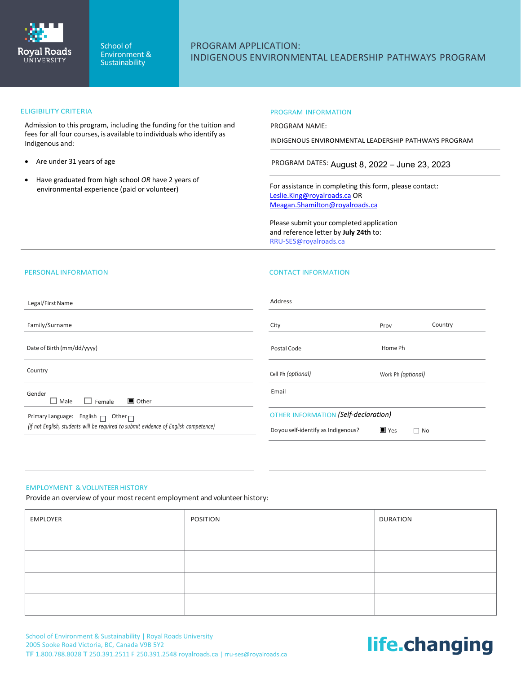

## PROGRAM APPLICATION: INDIGENOUS ENVIRONMENTAL LEADERSHIP PATHWAYS PROGRAM

### ELIGIBILITY CRITERIA

Admission to this program, including the funding for the tuition and fees for all four courses, is available to individuals who identify as Indigenous and:

- Are under 31 years of age
- Have graduated from high school *OR* have 2 years of environmental experience (paid or volunteer)

### PROGRAM INFORMATION

PROGRAM NAME:

INDIGENOUS ENVIRONMENTAL LEADERSHIP PATHWAYS PROGRAM

PROGRAM DATES: August 8, 2022 – June 23, 2023

For assistance in completing this form, please contact: [Leslie.King@royalroads.ca](mailto:Leslie.King@royalroads.ca) OR [Meagan.5hamilton@royalroads.ca](mailto:Meagan.5hamilton@royalroads.ca)

Please submit your completed application and reference letter by **July 24th** to: RRU-SES@royalroads.ca

### PERSONAL INFORMATION

### CONTACT INFORMATION

| Legal/First Name                                                                     | Address                              |                                 |  |
|--------------------------------------------------------------------------------------|--------------------------------------|---------------------------------|--|
| Family/Surname                                                                       | City                                 | Country<br>Prov                 |  |
| Date of Birth (mm/dd/yyyy)                                                           | Postal Code                          | Home Ph                         |  |
| Country                                                                              | Cell Ph (optional)                   | Work Ph (optional)              |  |
| Gender<br>$\blacksquare$ Other<br>$\Box$ Male<br>$\Box$ Female                       | Email                                |                                 |  |
| Primary Language: English $\Box$ Other $\Box$                                        | OTHER INFORMATION (Self-declaration) |                                 |  |
| (if not English, students will be required to submit evidence of English competence) | Doyou self-identify as Indigenous?   | $\blacksquare$ Yes<br>$\Box$ No |  |
|                                                                                      |                                      |                                 |  |

### EMPLOYMENT & VOLUNTEER HISTORY

Provide an overview of your most recent employment and volunteer history:

| EMPLOYER | <b>POSITION</b> | <b>DURATION</b> |
|----------|-----------------|-----------------|
|          |                 |                 |
|          |                 |                 |
|          |                 |                 |
|          |                 |                 |

# **life.changing**